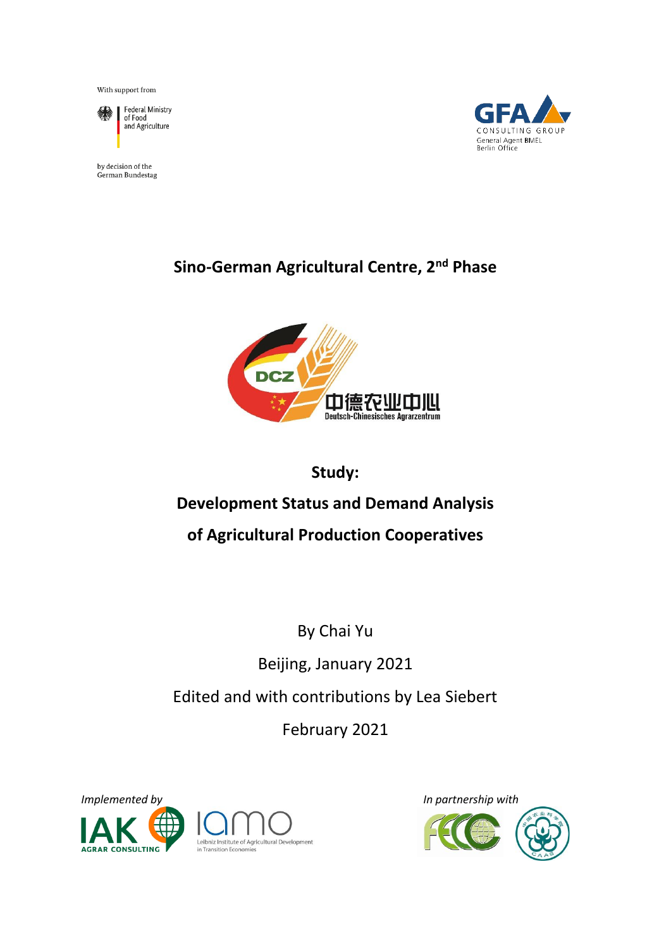With support from



Federal Ministry<br>of Food and Agriculture

by decision of the German Bundestag



# **Sino-German Agricultural Centre, 2nd Phase**



# **Study: Development Status and Demand Analysis of Agricultural Production Cooperatives**

By Chai Yu Beijing, January 2021 Edited and with contributions by Lea Siebert

February 2021





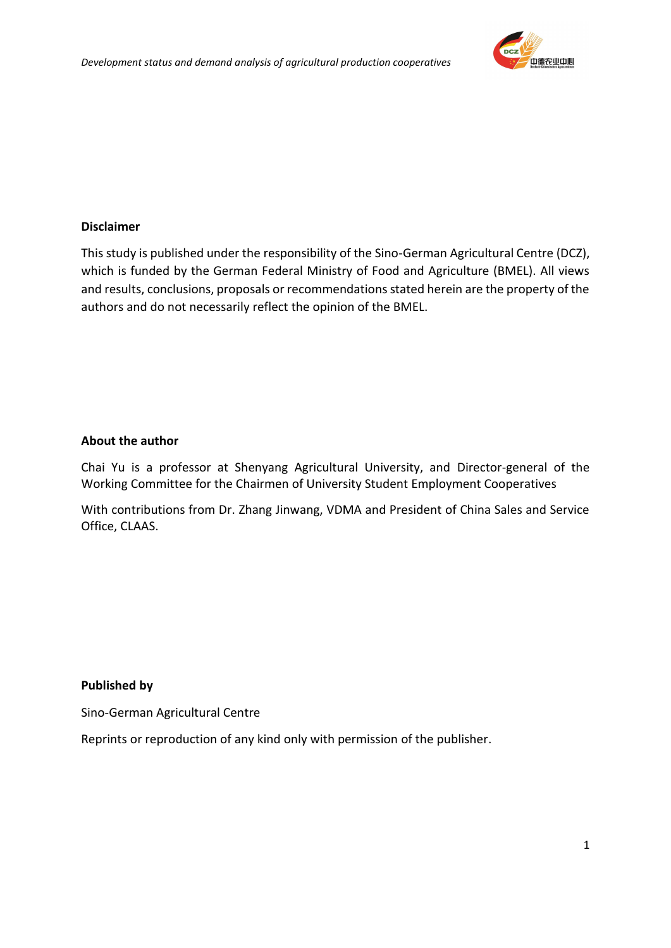

#### **Disclaimer**

This study is published under the responsibility of the Sino-German Agricultural Centre (DCZ), which is funded by the German Federal Ministry of Food and Agriculture (BMEL). All views and results, conclusions, proposals or recommendations stated herein are the property of the authors and do not necessarily reflect the opinion of the BMEL.

#### **About the author**

Chai Yu is a professor at Shenyang Agricultural University, and Director-general of the Working Committee for the Chairmen of University Student Employment Cooperatives

With contributions from Dr. Zhang Jinwang, VDMA and President of China Sales and Service Office, CLAAS.

#### **Published by**

Sino-German Agricultural Centre

Reprints or reproduction of any kind only with permission of the publisher.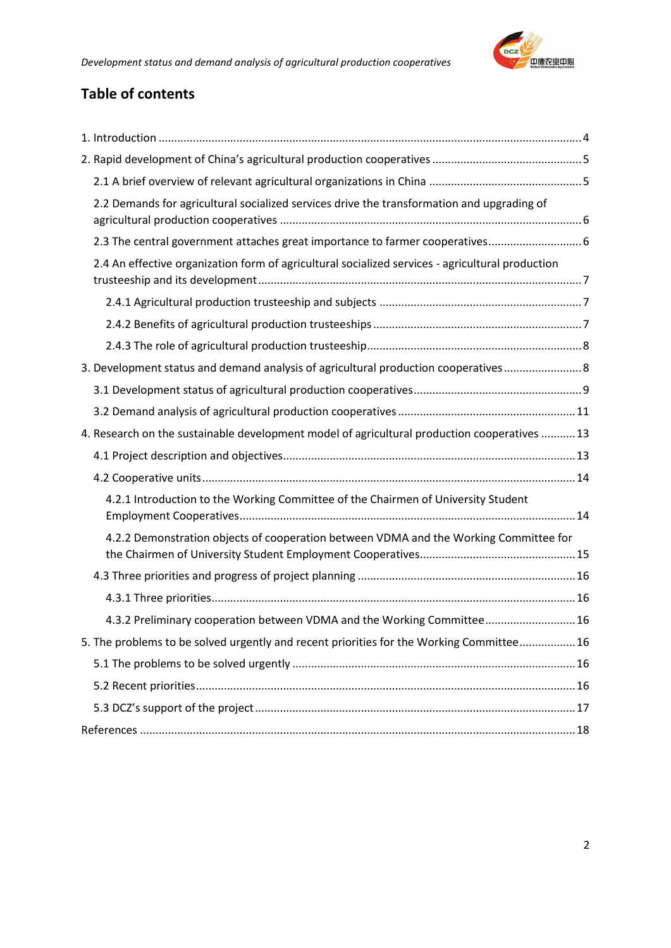

## **Table of contents**

| 2.2 Demands for agricultural socialized services drive the transformation and upgrading of       |  |
|--------------------------------------------------------------------------------------------------|--|
| 2.3 The central government attaches great importance to farmer cooperatives 6                    |  |
| 2.4 An effective organization form of agricultural socialized services - agricultural production |  |
|                                                                                                  |  |
|                                                                                                  |  |
|                                                                                                  |  |
| 3. Development status and demand analysis of agricultural production cooperatives 8              |  |
|                                                                                                  |  |
|                                                                                                  |  |
| 4. Research on the sustainable development model of agricultural production cooperatives  13     |  |
|                                                                                                  |  |
|                                                                                                  |  |
| 4.2.1 Introduction to the Working Committee of the Chairmen of University Student                |  |
| 4.2.2 Demonstration objects of cooperation between VDMA and the Working Committee for            |  |
|                                                                                                  |  |
|                                                                                                  |  |
| 4.3.2 Preliminary cooperation between VDMA and the Working Committee 16                          |  |
| 5. The problems to be solved urgently and recent priorities for the Working Committee 16         |  |
|                                                                                                  |  |
|                                                                                                  |  |
|                                                                                                  |  |
|                                                                                                  |  |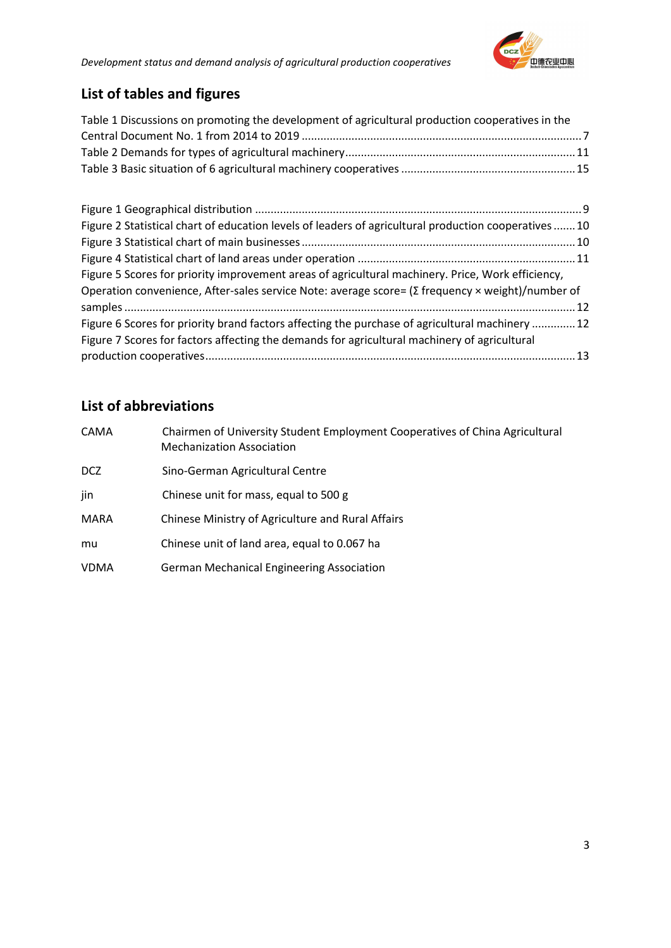

# **List of tables and figures**

| Table 1 Discussions on promoting the development of agricultural production cooperatives in the |  |
|-------------------------------------------------------------------------------------------------|--|
|                                                                                                 |  |
|                                                                                                 |  |
|                                                                                                 |  |

| Figure 2 Statistical chart of education levels of leaders of agricultural production cooperatives 10    |  |
|---------------------------------------------------------------------------------------------------------|--|
|                                                                                                         |  |
|                                                                                                         |  |
| Figure 5 Scores for priority improvement areas of agricultural machinery. Price, Work efficiency,       |  |
| Operation convenience, After-sales service Note: average score= $(\Sigma$ frequency × weight)/number of |  |
|                                                                                                         |  |
| Figure 6 Scores for priority brand factors affecting the purchase of agricultural machinery  12         |  |
| Figure 7 Scores for factors affecting the demands for agricultural machinery of agricultural            |  |
|                                                                                                         |  |

# **List of abbreviations**

| CAMA        | Chairmen of University Student Employment Cooperatives of China Agricultural<br><b>Mechanization Association</b> |
|-------------|------------------------------------------------------------------------------------------------------------------|
| DCZ         | Sino-German Agricultural Centre                                                                                  |
| jin         | Chinese unit for mass, equal to 500 g                                                                            |
| MARA        | Chinese Ministry of Agriculture and Rural Affairs                                                                |
| mu          | Chinese unit of land area, equal to 0.067 ha                                                                     |
| <b>VDMA</b> | <b>German Mechanical Engineering Association</b>                                                                 |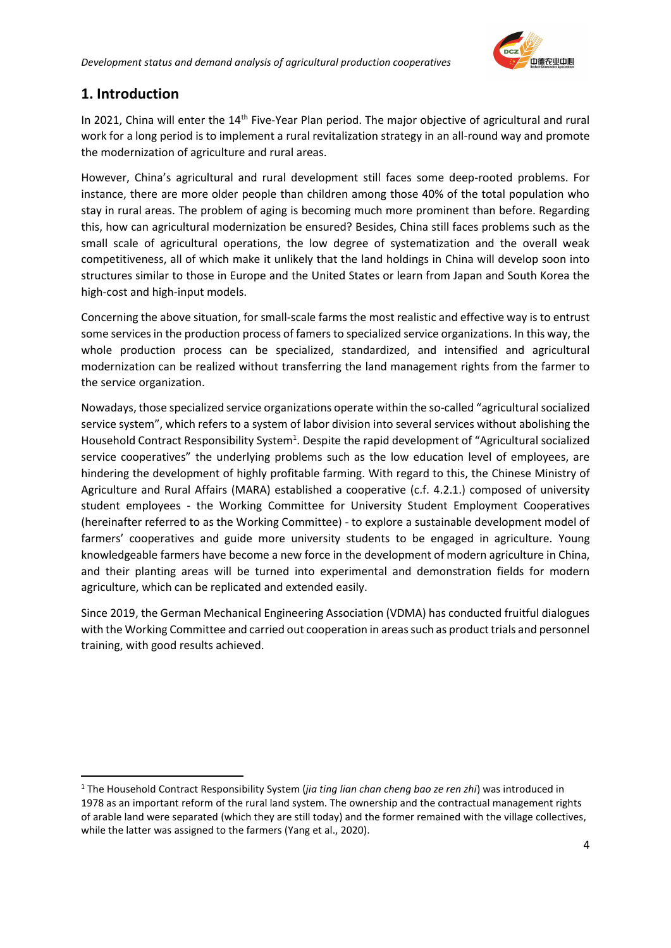

#### <span id="page-4-0"></span>**1. Introduction**

In 2021, China will enter the  $14<sup>th</sup>$  Five-Year Plan period. The major objective of agricultural and rural work for a long period is to implement a rural revitalization strategy in an all-round way and promote the modernization of agriculture and rural areas.

However, China's agricultural and rural development still faces some deep-rooted problems. For instance, there are more older people than children among those 40% of the total population who stay in rural areas. The problem of aging is becoming much more prominent than before. Regarding this, how can agricultural modernization be ensured? Besides, China still faces problems such as the small scale of agricultural operations, the low degree of systematization and the overall weak competitiveness, all of which make it unlikely that the land holdings in China will develop soon into structures similar to those in Europe and the United States or learn from Japan and South Korea the high-cost and high-input models.

Concerning the above situation, for small-scale farms the most realistic and effective way is to entrust some services in the production process of famers to specialized service organizations. In this way, the whole production process can be specialized, standardized, and intensified and agricultural modernization can be realized without transferring the land management rights from the farmer to the service organization.

Nowadays, those specialized service organizations operate within the so-called "agricultural socialized service system", which refers to a system of labor division into several services without abolishing the Household Contract Responsibility System<sup>1</sup>. Despite the rapid development of "Agricultural socialized service cooperatives" the underlying problems such as the low education level of employees, are hindering the development of highly profitable farming. With regard to this, the Chinese Ministry of Agriculture and Rural Affairs (MARA) established a cooperative (c.f. 4.2.1.) composed of university student employees - the Working Committee for University Student Employment Cooperatives (hereinafter referred to as the Working Committee) - to explore a sustainable development model of farmers' cooperatives and guide more university students to be engaged in agriculture. Young knowledgeable farmers have become a new force in the development of modern agriculture in China, and their planting areas will be turned into experimental and demonstration fields for modern agriculture, which can be replicated and extended easily.

Since 2019, the German Mechanical Engineering Association (VDMA) has conducted fruitful dialogues with the Working Committee and carried out cooperation in areas such as product trials and personnel training, with good results achieved.

<sup>1</sup> The Household Contract Responsibility System (*jia ting lian chan cheng bao ze ren zhi*) was introduced in 1978 as an important reform of the rural land system. The ownership and the contractual management rights of arable land were separated (which they are still today) and the former remained with the village collectives, while the latter was assigned to the farmers (Yang et al., 2020).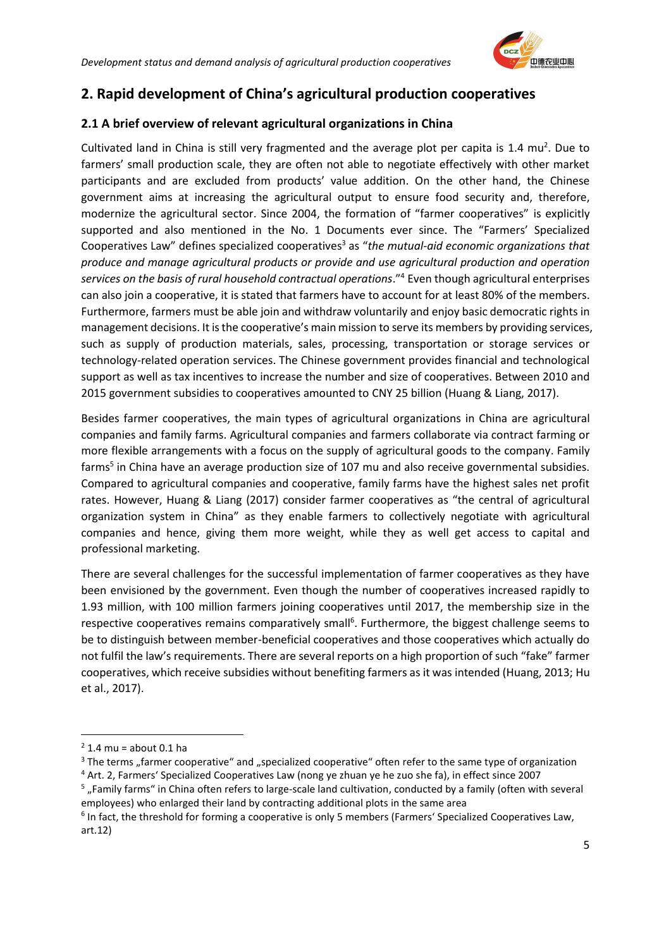

### <span id="page-5-0"></span>**2. Rapid development of China's agricultural production cooperatives**

#### <span id="page-5-1"></span>**2.1 A brief overview of relevant agricultural organizations in China**

Cultivated land in China is still very fragmented and the average plot per capita is  $1.4 \text{ mu}^2$ . Due to farmers' small production scale, they are often not able to negotiate effectively with other market participants and are excluded from products' value addition. On the other hand, the Chinese government aims at increasing the agricultural output to ensure food security and, therefore, modernize the agricultural sector. Since 2004, the formation of "farmer cooperatives" is explicitly supported and also mentioned in the No. 1 Documents ever since. The "Farmers' Specialized Cooperatives Law" defines specialized cooperatives<sup>3</sup> as "*the mutual-aid economic organizations that produce and manage agricultural products or provide and use agricultural production and operation services on the basis of rural household contractual operations*."<sup>4</sup> Even though agricultural enterprises can also join a cooperative, it is stated that farmers have to account for at least 80% of the members. Furthermore, farmers must be able join and withdraw voluntarily and enjoy basic democratic rights in management decisions. It is the cooperative's main mission to serve its members by providing services, such as supply of production materials, sales, processing, transportation or storage services or technology-related operation services. The Chinese government provides financial and technological support as well as tax incentives to increase the number and size of cooperatives. Between 2010 and 2015 government subsidies to cooperatives amounted to CNY 25 billion (Huang & Liang, 2017).

Besides farmer cooperatives, the main types of agricultural organizations in China are agricultural companies and family farms. Agricultural companies and farmers collaborate via contract farming or more flexible arrangements with a focus on the supply of agricultural goods to the company. Family farms<sup>5</sup> in China have an average production size of 107 mu and also receive governmental subsidies. Compared to agricultural companies and cooperative, family farms have the highest sales net profit rates. However, Huang & Liang (2017) consider farmer cooperatives as "the central of agricultural organization system in China" as they enable farmers to collectively negotiate with agricultural companies and hence, giving them more weight, while they as well get access to capital and professional marketing.

There are several challenges for the successful implementation of farmer cooperatives as they have been envisioned by the government. Even though the number of cooperatives increased rapidly to 1.93 million, with 100 million farmers joining cooperatives until 2017, the membership size in the respective cooperatives remains comparatively small<sup>6</sup>. Furthermore, the biggest challenge seems to be to distinguish between member-beneficial cooperatives and those cooperatives which actually do not fulfil the law's requirements. There are several reports on a high proportion of such "fake" farmer cooperatives, which receive subsidies without benefiting farmers as it was intended (Huang, 2013; Hu et al., 2017).

 $2$  1.4 mu = about 0.1 ha

<sup>&</sup>lt;sup>3</sup> The terms "farmer cooperative" and "specialized cooperative" often refer to the same type of organization <sup>4</sup> Art. 2, Farmers' Specialized Cooperatives Law (nong ye zhuan ye he zuo she fa), in effect since 2007

<sup>&</sup>lt;sup>5</sup> "Family farms" in China often refers to large-scale land cultivation, conducted by a family (often with several employees) who enlarged their land by contracting additional plots in the same area

<sup>&</sup>lt;sup>6</sup> In fact, the threshold for forming a cooperative is only 5 members (Farmers' Specialized Cooperatives Law, art.12)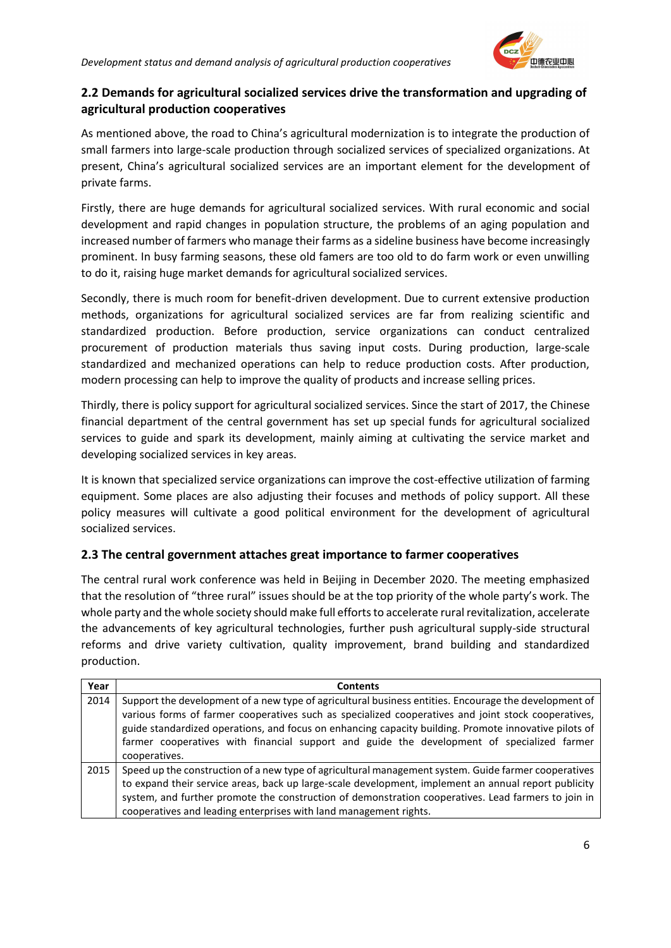

#### <span id="page-6-0"></span>**2.2 Demands for agricultural socialized services drive the transformation and upgrading of agricultural production cooperatives**

As mentioned above, the road to China's agricultural modernization is to integrate the production of small farmers into large-scale production through socialized services of specialized organizations. At present, China's agricultural socialized services are an important element for the development of private farms.

Firstly, there are huge demands for agricultural socialized services. With rural economic and social development and rapid changes in population structure, the problems of an aging population and increased number of farmers who manage their farms as a sideline business have become increasingly prominent. In busy farming seasons, these old famers are too old to do farm work or even unwilling to do it, raising huge market demands for agricultural socialized services.

Secondly, there is much room for benefit-driven development. Due to current extensive production methods, organizations for agricultural socialized services are far from realizing scientific and standardized production. Before production, service organizations can conduct centralized procurement of production materials thus saving input costs. During production, large-scale standardized and mechanized operations can help to reduce production costs. After production, modern processing can help to improve the quality of products and increase selling prices.

Thirdly, there is policy support for agricultural socialized services. Since the start of 2017, the Chinese financial department of the central government has set up special funds for agricultural socialized services to guide and spark its development, mainly aiming at cultivating the service market and developing socialized services in key areas.

It is known that specialized service organizations can improve the cost-effective utilization of farming equipment. Some places are also adjusting their focuses and methods of policy support. All these policy measures will cultivate a good political environment for the development of agricultural socialized services.

#### <span id="page-6-1"></span>**2.3 The central government attaches great importance to farmer cooperatives**

The central rural work conference was held in Beijing in December 2020. The meeting emphasized that the resolution of "three rural" issues should be at the top priority of the whole party's work. The whole party and the whole society should make full efforts to accelerate rural revitalization, accelerate the advancements of key agricultural technologies, further push agricultural supply-side structural reforms and drive variety cultivation, quality improvement, brand building and standardized production.

| Year | <b>Contents</b>                                                                                                                                                                                                                                                                                                                                                                                                                      |
|------|--------------------------------------------------------------------------------------------------------------------------------------------------------------------------------------------------------------------------------------------------------------------------------------------------------------------------------------------------------------------------------------------------------------------------------------|
| 2014 | Support the development of a new type of agricultural business entities. Encourage the development of<br>various forms of farmer cooperatives such as specialized cooperatives and joint stock cooperatives,<br>guide standardized operations, and focus on enhancing capacity building. Promote innovative pilots of<br>farmer cooperatives with financial support and guide the development of specialized farmer<br>cooperatives. |
| 2015 | Speed up the construction of a new type of agricultural management system. Guide farmer cooperatives<br>to expand their service areas, back up large-scale development, implement an annual report publicity<br>system, and further promote the construction of demonstration cooperatives. Lead farmers to join in<br>cooperatives and leading enterprises with land management rights.                                             |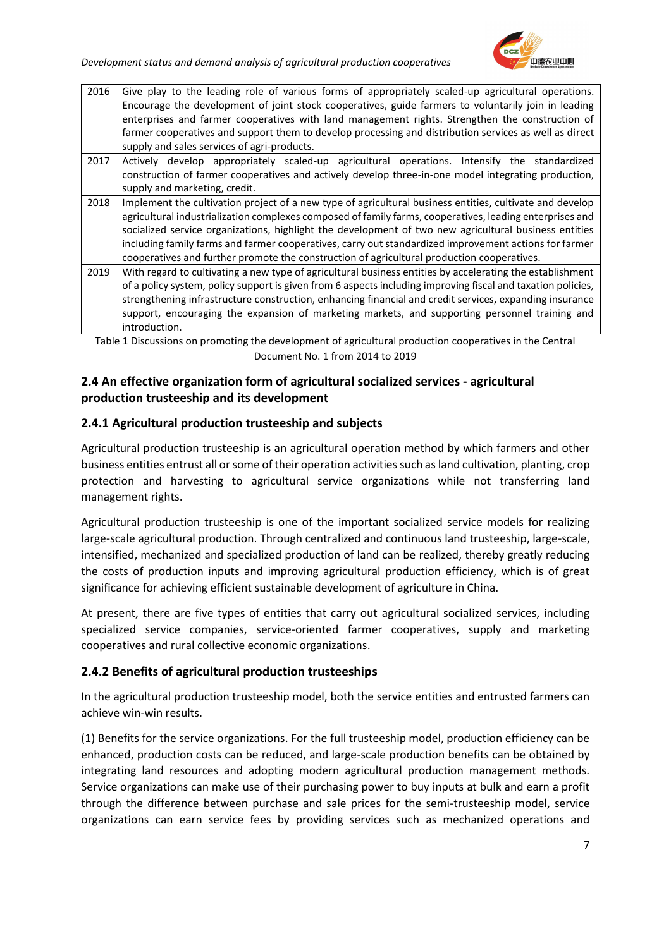

| 2016                                                                                                     | Give play to the leading role of various forms of appropriately scaled-up agricultural operations.<br>Encourage the development of joint stock cooperatives, guide farmers to voluntarily join in leading<br>enterprises and farmer cooperatives with land management rights. Strengthen the construction of<br>farmer cooperatives and support them to develop processing and distribution services as well as direct<br>supply and sales services of agri-products. |  |  |  |  |  |
|----------------------------------------------------------------------------------------------------------|-----------------------------------------------------------------------------------------------------------------------------------------------------------------------------------------------------------------------------------------------------------------------------------------------------------------------------------------------------------------------------------------------------------------------------------------------------------------------|--|--|--|--|--|
| 2017                                                                                                     | Actively develop appropriately scaled-up agricultural operations. Intensify the standardized                                                                                                                                                                                                                                                                                                                                                                          |  |  |  |  |  |
| construction of farmer cooperatives and actively develop three-in-one model integrating production,      |                                                                                                                                                                                                                                                                                                                                                                                                                                                                       |  |  |  |  |  |
|                                                                                                          | supply and marketing, credit.                                                                                                                                                                                                                                                                                                                                                                                                                                         |  |  |  |  |  |
| 2018                                                                                                     | Implement the cultivation project of a new type of agricultural business entities, cultivate and develop                                                                                                                                                                                                                                                                                                                                                              |  |  |  |  |  |
| agricultural industrialization complexes composed of family farms, cooperatives, leading enterprises and |                                                                                                                                                                                                                                                                                                                                                                                                                                                                       |  |  |  |  |  |
|                                                                                                          | socialized service organizations, highlight the development of two new agricultural business entities                                                                                                                                                                                                                                                                                                                                                                 |  |  |  |  |  |
|                                                                                                          | including family farms and farmer cooperatives, carry out standardized improvement actions for farmer                                                                                                                                                                                                                                                                                                                                                                 |  |  |  |  |  |
|                                                                                                          | cooperatives and further promote the construction of agricultural production cooperatives.                                                                                                                                                                                                                                                                                                                                                                            |  |  |  |  |  |
| 2019                                                                                                     | With regard to cultivating a new type of agricultural business entities by accelerating the establishment                                                                                                                                                                                                                                                                                                                                                             |  |  |  |  |  |
|                                                                                                          | of a policy system, policy support is given from 6 aspects including improving fiscal and taxation policies,                                                                                                                                                                                                                                                                                                                                                          |  |  |  |  |  |
|                                                                                                          | strengthening infrastructure construction, enhancing financial and credit services, expanding insurance                                                                                                                                                                                                                                                                                                                                                               |  |  |  |  |  |
|                                                                                                          | support, encouraging the expansion of marketing markets, and supporting personnel training and                                                                                                                                                                                                                                                                                                                                                                        |  |  |  |  |  |
|                                                                                                          | introduction.                                                                                                                                                                                                                                                                                                                                                                                                                                                         |  |  |  |  |  |
|                                                                                                          | Table 1 Discussions on promoting the development of agricultural production cooperatives in the Central                                                                                                                                                                                                                                                                                                                                                               |  |  |  |  |  |

<span id="page-7-3"></span>Table 1 Discussions on promoting the development of agricultural production cooperatives in the Central Document No. 1 from 2014 to 2019

#### <span id="page-7-0"></span>**2.4 An effective organization form of agricultural socialized services - agricultural production trusteeship and its development**

#### <span id="page-7-1"></span>**2.4.1 Agricultural production trusteeship and subjects**

Agricultural production trusteeship is an agricultural operation method by which farmers and other business entities entrust all or some of their operation activities such as land cultivation, planting, crop protection and harvesting to agricultural service organizations while not transferring land management rights.

Agricultural production trusteeship is one of the important socialized service models for realizing large-scale agricultural production. Through centralized and continuous land trusteeship, large-scale, intensified, mechanized and specialized production of land can be realized, thereby greatly reducing the costs of production inputs and improving agricultural production efficiency, which is of great significance for achieving efficient sustainable development of agriculture in China.

At present, there are five types of entities that carry out agricultural socialized services, including specialized service companies, service-oriented farmer cooperatives, supply and marketing cooperatives and rural collective economic organizations.

#### <span id="page-7-2"></span>**2.4.2 Benefits of agricultural production trusteeships**

In the agricultural production trusteeship model, both the service entities and entrusted farmers can achieve win-win results.

(1) Benefits for the service organizations. For the full trusteeship model, production efficiency can be enhanced, production costs can be reduced, and large-scale production benefits can be obtained by integrating land resources and adopting modern agricultural production management methods. Service organizations can make use of their purchasing power to buy inputs at bulk and earn a profit through the difference between purchase and sale prices for the semi-trusteeship model, service organizations can earn service fees by providing services such as mechanized operations and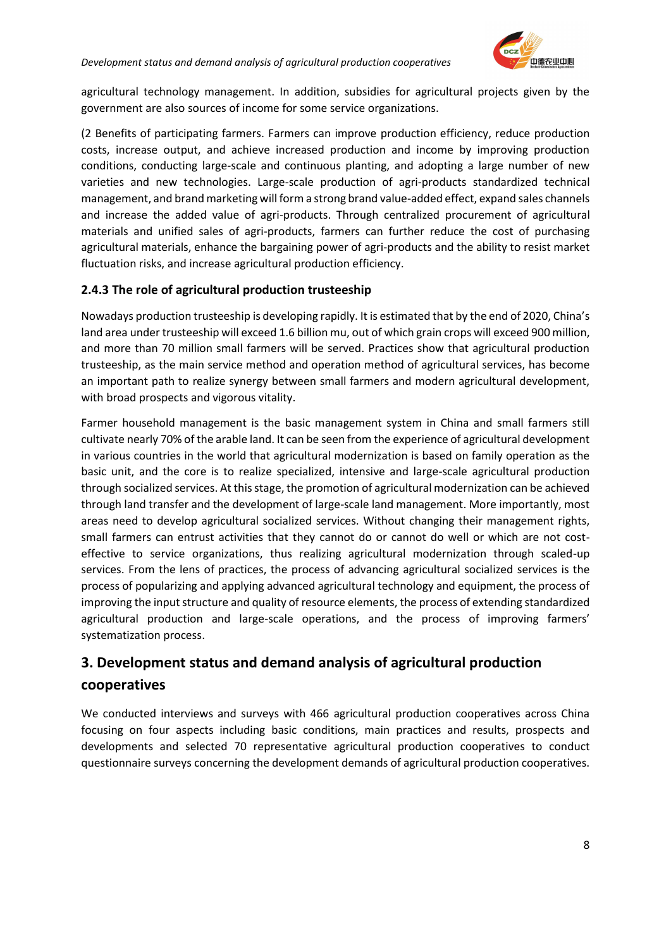

agricultural technology management. In addition, subsidies for agricultural projects given by the government are also sources of income for some service organizations.

(2 Benefits of participating farmers. Farmers can improve production efficiency, reduce production costs, increase output, and achieve increased production and income by improving production conditions, conducting large-scale and continuous planting, and adopting a large number of new varieties and new technologies. Large-scale production of agri-products standardized technical management, and brand marketing will form a strong brand value-added effect, expand sales channels and increase the added value of agri-products. Through centralized procurement of agricultural materials and unified sales of agri-products, farmers can further reduce the cost of purchasing agricultural materials, enhance the bargaining power of agri-products and the ability to resist market fluctuation risks, and increase agricultural production efficiency.

#### <span id="page-8-0"></span>**2.4.3 The role of agricultural production trusteeship**

Nowadays production trusteeship is developing rapidly. It is estimated that by the end of 2020, China's land area under trusteeship will exceed 1.6 billion mu, out of which grain crops will exceed 900 million, and more than 70 million small farmers will be served. Practices show that agricultural production trusteeship, as the main service method and operation method of agricultural services, has become an important path to realize synergy between small farmers and modern agricultural development, with broad prospects and vigorous vitality.

Farmer household management is the basic management system in China and small farmers still cultivate nearly 70% of the arable land. It can be seen from the experience of agricultural development in various countries in the world that agricultural modernization is based on family operation as the basic unit, and the core is to realize specialized, intensive and large-scale agricultural production through socialized services. At this stage, the promotion of agricultural modernization can be achieved through land transfer and the development of large-scale land management. More importantly, most areas need to develop agricultural socialized services. Without changing their management rights, small farmers can entrust activities that they cannot do or cannot do well or which are not costeffective to service organizations, thus realizing agricultural modernization through scaled-up services. From the lens of practices, the process of advancing agricultural socialized services is the process of popularizing and applying advanced agricultural technology and equipment, the process of improving the input structure and quality of resource elements, the process of extending standardized agricultural production and large-scale operations, and the process of improving farmers' systematization process.

# <span id="page-8-1"></span>**3. Development status and demand analysis of agricultural production cooperatives**

We conducted interviews and surveys with 466 agricultural production cooperatives across China focusing on four aspects including basic conditions, main practices and results, prospects and developments and selected 70 representative agricultural production cooperatives to conduct questionnaire surveys concerning the development demands of agricultural production cooperatives.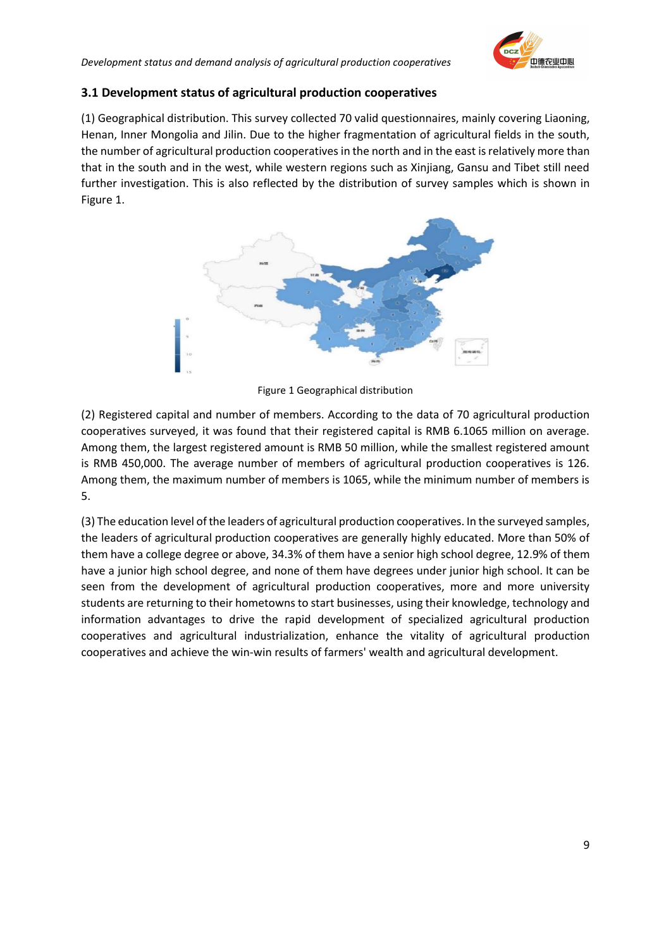#### <span id="page-9-0"></span>**3.1 Development status of agricultural production cooperatives**

(1) Geographical distribution. This survey collected 70 valid questionnaires, mainly covering Liaoning, Henan, Inner Mongolia and Jilin. Due to the higher fragmentation of agricultural fields in the south, the number of agricultural production cooperatives in the north and in the east is relatively more than that in the south and in the west, while western regions such as Xinjiang, Gansu and Tibet still need further investigation. This is also reflected by the distribution of survey samples which is shown in Figure 1.



Figure 1 Geographical distribution

<span id="page-9-1"></span>(2) Registered capital and number of members. According to the data of 70 agricultural production cooperatives surveyed, it was found that their registered capital is RMB 6.1065 million on average. Among them, the largest registered amount is RMB 50 million, while the smallest registered amount is RMB 450,000. The average number of members of agricultural production cooperatives is 126. Among them, the maximum number of members is 1065, while the minimum number of members is 5.

(3) The education level of the leaders of agricultural production cooperatives. In the surveyed samples, the leaders of agricultural production cooperatives are generally highly educated. More than 50% of them have a college degree or above, 34.3% of them have a senior high school degree, 12.9% of them have a junior high school degree, and none of them have degrees under junior high school. It can be seen from the development of agricultural production cooperatives, more and more university students are returning to their hometowns to start businesses, using their knowledge, technology and information advantages to drive the rapid development of specialized agricultural production cooperatives and agricultural industrialization, enhance the vitality of agricultural production cooperatives and achieve the win-win results of farmers' wealth and agricultural development.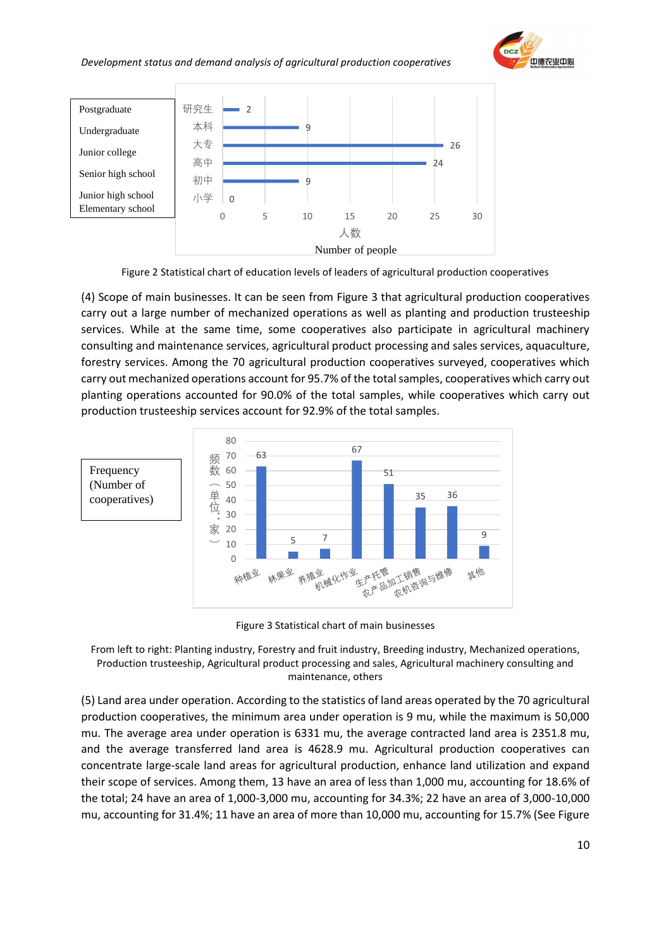



Figure 2 Statistical chart of education levels of leaders of agricultural production cooperatives

<span id="page-10-0"></span>(4) Scope of main businesses. It can be seen from Figure 3 that agricultural production cooperatives carry out a large number of mechanized operations as well as planting and production trusteeship services. While at the same time, some cooperatives also participate in agricultural machinery consulting and maintenance services, agricultural product processing and sales services, aquaculture, forestry services. Among the 70 agricultural production cooperatives surveyed, cooperatives which carry out mechanized operations account for 95.7% of the total samples, cooperatives which carry out planting operations accounted for 90.0% of the total samples, while cooperatives which carry out production trusteeship services account for 92.9% of the total samples.



Figure 3 Statistical chart of main businesses

<span id="page-10-1"></span>

(5) Land area under operation. According to the statistics of land areas operated by the 70 agricultural production cooperatives, the minimum area under operation is 9 mu, while the maximum is 50,000 mu. The average area under operation is 6331 mu, the average contracted land area is 2351.8 mu, and the average transferred land area is 4628.9 mu. Agricultural production cooperatives can concentrate large-scale land areas for agricultural production, enhance land utilization and expand their scope of services. Among them, 13 have an area of less than 1,000 mu, accounting for 18.6% of the total; 24 have an area of 1,000-3,000 mu, accounting for 34.3%; 22 have an area of 3,000-10,000 mu, accounting for 31.4%; 11 have an area of more than 10,000 mu, accounting for 15.7% (See Figure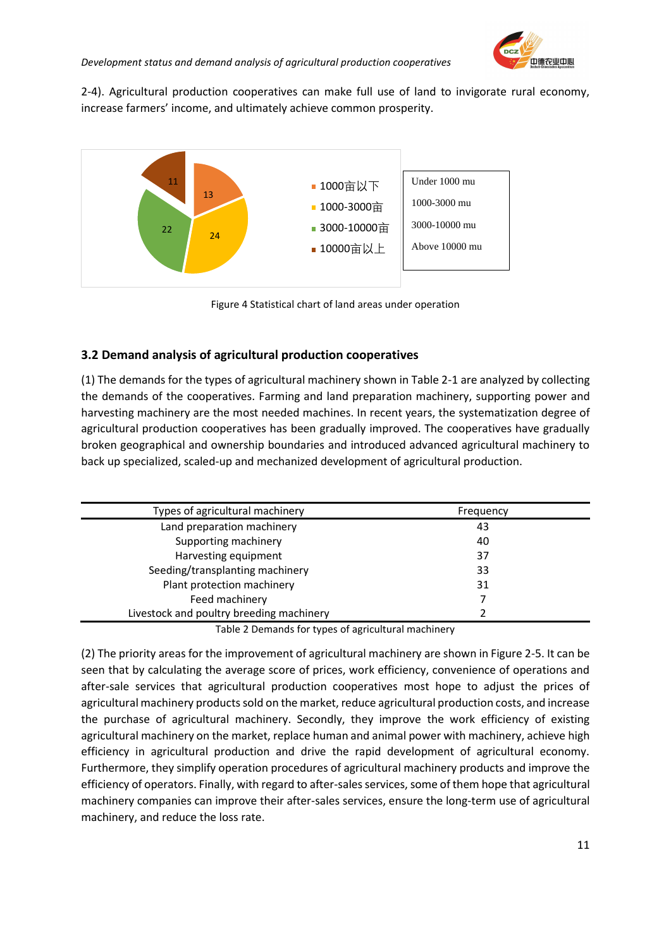

2-4). Agricultural production cooperatives can make full use of land to invigorate rural economy, increase farmers' income, and ultimately achieve common prosperity.



Figure 4 Statistical chart of land areas under operation

#### <span id="page-11-2"></span><span id="page-11-0"></span>**3.2 Demand analysis of agricultural production cooperatives**

(1) The demands for the types of agricultural machinery shown in Table 2-1 are analyzed by collecting the demands of the cooperatives. Farming and land preparation machinery, supporting power and harvesting machinery are the most needed machines. In recent years, the systematization degree of agricultural production cooperatives has been gradually improved. The cooperatives have gradually broken geographical and ownership boundaries and introduced advanced agricultural machinery to back up specialized, scaled-up and mechanized development of agricultural production.

| Types of agricultural machinery          | Frequency |
|------------------------------------------|-----------|
| Land preparation machinery               | 43        |
| Supporting machinery                     | 40        |
| Harvesting equipment                     | 37        |
| Seeding/transplanting machinery          | 33        |
| Plant protection machinery               | 31        |
| Feed machinery                           |           |
| Livestock and poultry breeding machinery |           |
|                                          |           |

Table 2 Demands for types of agricultural machinery

<span id="page-11-1"></span>(2) The priority areas for the improvement of agricultural machinery are shown in Figure 2-5. It can be seen that by calculating the average score of prices, work efficiency, convenience of operations and after-sale services that agricultural production cooperatives most hope to adjust the prices of agricultural machinery products sold on the market, reduce agricultural production costs, and increase the purchase of agricultural machinery. Secondly, they improve the work efficiency of existing agricultural machinery on the market, replace human and animal power with machinery, achieve high efficiency in agricultural production and drive the rapid development of agricultural economy. Furthermore, they simplify operation procedures of agricultural machinery products and improve the efficiency of operators. Finally, with regard to after-sales services, some of them hope that agricultural machinery companies can improve their after-sales services, ensure the long-term use of agricultural machinery, and reduce the loss rate.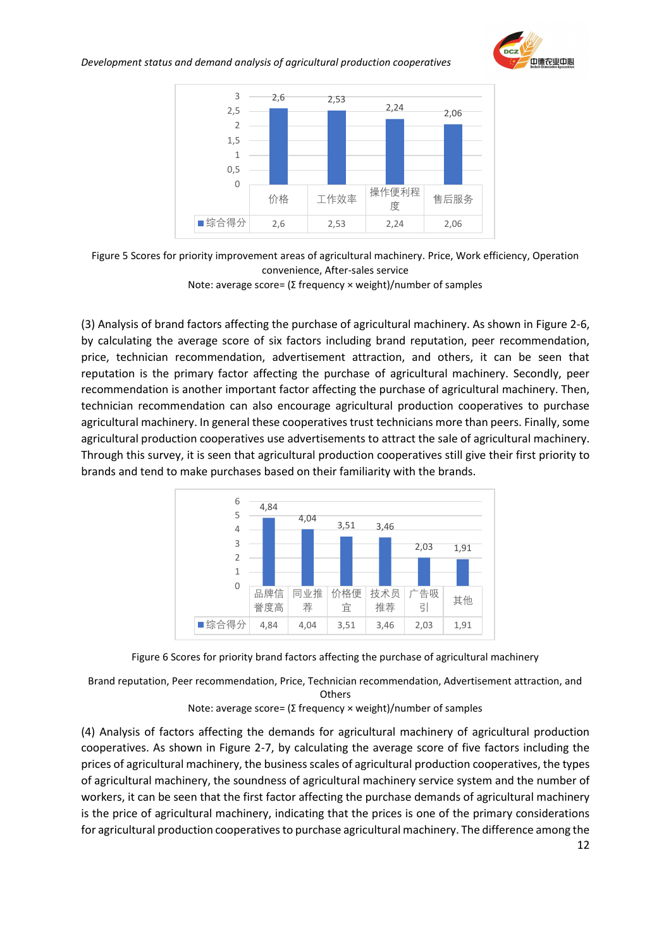



<span id="page-12-0"></span>

Note: average score= (Σ frequency × weight)/number of samples

(3) Analysis of brand factors affecting the purchase of agricultural machinery. As shown in Figure 2-6, by calculating the average score of six factors including brand reputation, peer recommendation, price, technician recommendation, advertisement attraction, and others, it can be seen that reputation is the primary factor affecting the purchase of agricultural machinery. Secondly, peer recommendation is another important factor affecting the purchase of agricultural machinery. Then, technician recommendation can also encourage agricultural production cooperatives to purchase agricultural machinery. In general these cooperatives trust technicians more than peers. Finally, some agricultural production cooperatives use advertisements to attract the sale of agricultural machinery. Through this survey, it is seen that agricultural production cooperatives still give their first priority to brands and tend to make purchases based on their familiarity with the brands.



Figure 6 Scores for priority brand factors affecting the purchase of agricultural machinery

<span id="page-12-1"></span>Brand reputation, Peer recommendation, Price, Technician recommendation, Advertisement attraction, and **Others** 

Note: average score= (Σ frequency × weight)/number of samples

(4) Analysis of factors affecting the demands for agricultural machinery of agricultural production cooperatives. As shown in Figure 2-7, by calculating the average score of five factors including the prices of agricultural machinery, the business scales of agricultural production cooperatives, the types of agricultural machinery, the soundness of agricultural machinery service system and the number of workers, it can be seen that the first factor affecting the purchase demands of agricultural machinery is the price of agricultural machinery, indicating that the prices is one of the primary considerations for agricultural production cooperatives to purchase agricultural machinery. The difference among the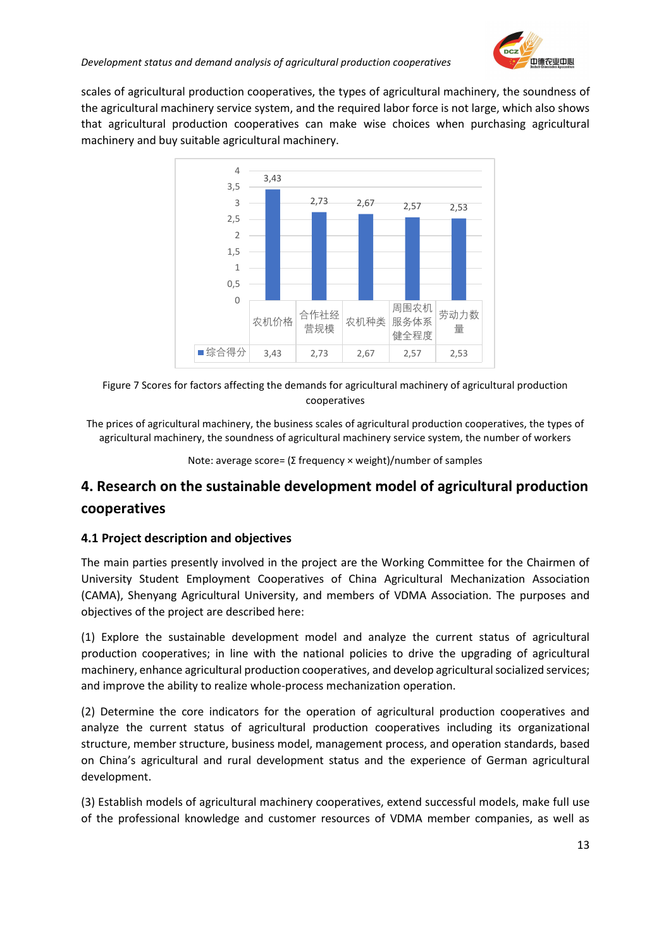

scales of agricultural production cooperatives, the types of agricultural machinery, the soundness of the agricultural machinery service system, and the required labor force is not large, which also shows that agricultural production cooperatives can make wise choices when purchasing agricultural machinery and buy suitable agricultural machinery.



<span id="page-13-2"></span>

The prices of agricultural machinery, the business scales of agricultural production cooperatives, the types of agricultural machinery, the soundness of agricultural machinery service system, the number of workers

Note: average score= (Σ frequency × weight)/number of samples

### <span id="page-13-0"></span>**4. Research on the sustainable development model of agricultural production cooperatives**

#### <span id="page-13-1"></span>**4.1 Project description and objectives**

The main parties presently involved in the project are the Working Committee for the Chairmen of University Student Employment Cooperatives of China Agricultural Mechanization Association (CAMA), Shenyang Agricultural University, and members of VDMA Association. The purposes and objectives of the project are described here:

(1) Explore the sustainable development model and analyze the current status of agricultural production cooperatives; in line with the national policies to drive the upgrading of agricultural machinery, enhance agricultural production cooperatives, and develop agricultural socialized services; and improve the ability to realize whole-process mechanization operation.

(2) Determine the core indicators for the operation of agricultural production cooperatives and analyze the current status of agricultural production cooperatives including its organizational structure, member structure, business model, management process, and operation standards, based on China's agricultural and rural development status and the experience of German agricultural development.

(3) Establish models of agricultural machinery cooperatives, extend successful models, make full use of the professional knowledge and customer resources of VDMA member companies, as well as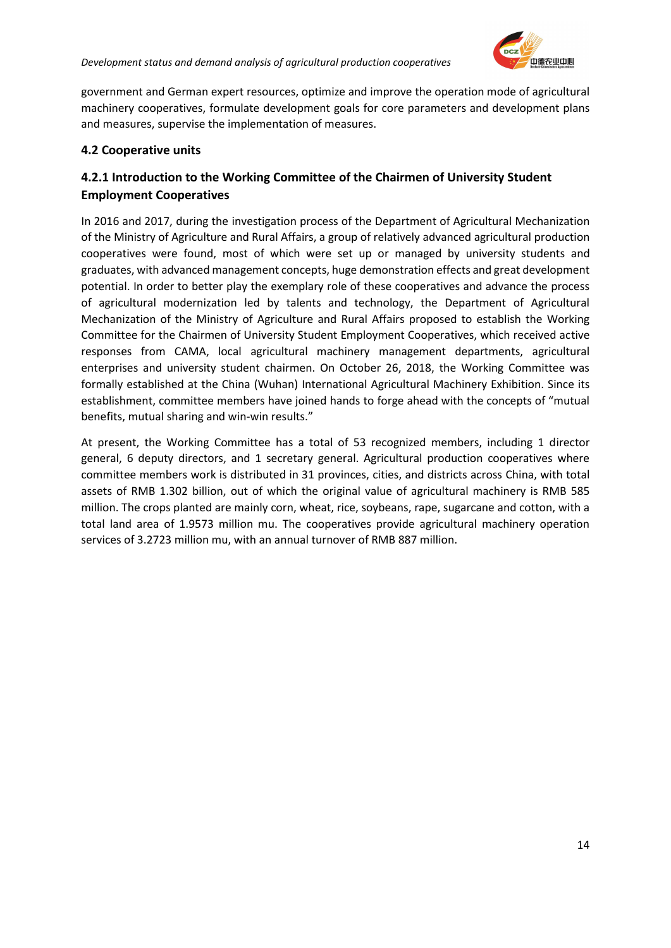

government and German expert resources, optimize and improve the operation mode of agricultural machinery cooperatives, formulate development goals for core parameters and development plans and measures, supervise the implementation of measures.

#### <span id="page-14-0"></span>**4.2 Cooperative units**

#### <span id="page-14-1"></span>**4.2.1 Introduction to the Working Committee of the Chairmen of University Student Employment Cooperatives**

In 2016 and 2017, during the investigation process of the Department of Agricultural Mechanization of the Ministry of Agriculture and Rural Affairs, a group of relatively advanced agricultural production cooperatives were found, most of which were set up or managed by university students and graduates, with advanced management concepts, huge demonstration effects and great development potential. In order to better play the exemplary role of these cooperatives and advance the process of agricultural modernization led by talents and technology, the Department of Agricultural Mechanization of the Ministry of Agriculture and Rural Affairs proposed to establish the Working Committee for the Chairmen of University Student Employment Cooperatives, which received active responses from CAMA, local agricultural machinery management departments, agricultural enterprises and university student chairmen. On October 26, 2018, the Working Committee was formally established at the China (Wuhan) International Agricultural Machinery Exhibition. Since its establishment, committee members have joined hands to forge ahead with the concepts of "mutual benefits, mutual sharing and win-win results."

At present, the Working Committee has a total of 53 recognized members, including 1 director general, 6 deputy directors, and 1 secretary general. Agricultural production cooperatives where committee members work is distributed in 31 provinces, cities, and districts across China, with total assets of RMB 1.302 billion, out of which the original value of agricultural machinery is RMB 585 million. The crops planted are mainly corn, wheat, rice, soybeans, rape, sugarcane and cotton, with a total land area of 1.9573 million mu. The cooperatives provide agricultural machinery operation services of 3.2723 million mu, with an annual turnover of RMB 887 million.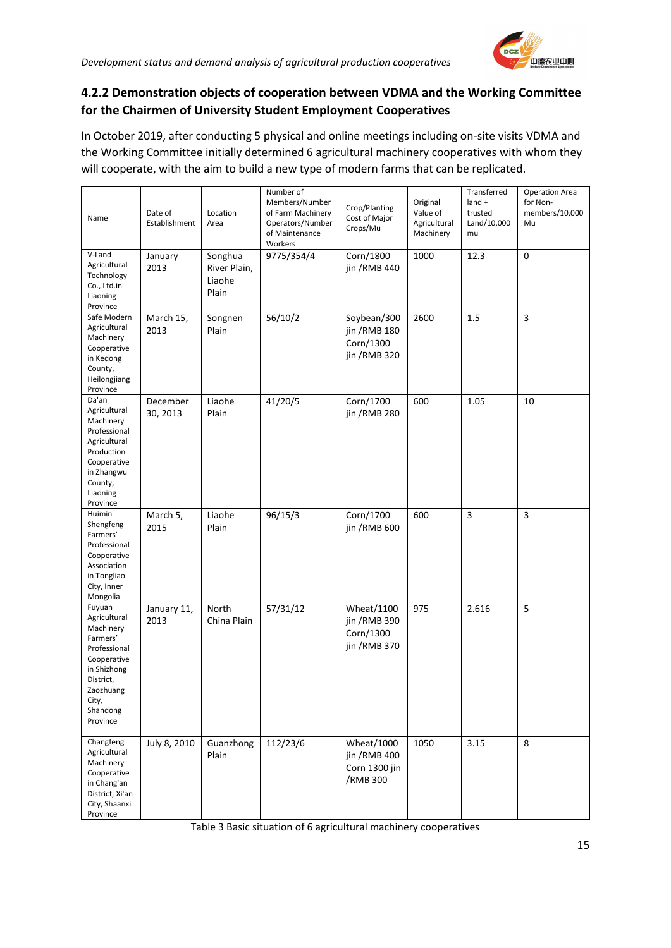

#### <span id="page-15-0"></span>**4.2.2 Demonstration objects of cooperation between VDMA and the Working Committee for the Chairmen of University Student Employment Cooperatives**

In October 2019, after conducting 5 physical and online meetings including on-site visits VDMA and the Working Committee initially determined 6 agricultural machinery cooperatives with whom they will cooperate, with the aim to build a new type of modern farms that can be replicated.

| Name                                                                                                                                                     | Date of<br>Establishment | Location<br>Area                           | Number of<br>Members/Number<br>of Farm Machinery<br>Operators/Number<br>of Maintenance<br>Workers | Crop/Planting<br>Cost of Major<br>Crops/Mu                       | Original<br>Value of<br>Agricultural<br>Machinery | Transferred<br>$land +$<br>trusted<br>Land/10,000<br>mu | <b>Operation Area</b><br>for Non-<br>members/10,000<br>Mu |
|----------------------------------------------------------------------------------------------------------------------------------------------------------|--------------------------|--------------------------------------------|---------------------------------------------------------------------------------------------------|------------------------------------------------------------------|---------------------------------------------------|---------------------------------------------------------|-----------------------------------------------------------|
| V-Land<br>Agricultural<br>Technology<br>Co., Ltd.in<br>Liaoning<br>Province                                                                              | January<br>2013          | Songhua<br>River Plain,<br>Liaohe<br>Plain | 9775/354/4                                                                                        | Corn/1800<br>jin / RMB 440                                       | 1000                                              | 12.3                                                    | 0                                                         |
| Safe Modern<br>Agricultural<br>Machinery<br>Cooperative<br>in Kedong<br>County,<br>Heilongjiang<br>Province                                              | March 15,<br>2013        | Songnen<br>Plain                           | 56/10/2                                                                                           | Soybean/300<br>jin / RMB 180<br>Corn/1300<br>jin / RMB 320       | 2600                                              | 1.5                                                     | 3                                                         |
| Da'an<br>Agricultural<br>Machinery<br>Professional<br>Agricultural<br>Production<br>Cooperative<br>in Zhangwu<br>County,<br>Liaoning<br>Province         | December<br>30, 2013     | Liaohe<br>Plain                            | 41/20/5                                                                                           | Corn/1700<br>jin /RMB 280                                        | 600                                               | 1.05                                                    | 10                                                        |
| Huimin<br>Shengfeng<br>Farmers'<br>Professional<br>Cooperative<br>Association<br>in Tongliao<br>City, Inner<br>Mongolia                                  | March 5,<br>2015         | Liaohe<br>Plain                            | 96/15/3                                                                                           | Corn/1700<br>jin /RMB 600                                        | 600                                               | $\overline{3}$                                          | 3                                                         |
| Fuyuan<br>Agricultural<br>Machinery<br>Farmers'<br>Professional<br>Cooperative<br>in Shizhong<br>District,<br>Zaozhuang<br>City,<br>Shandong<br>Province | January 11,<br>2013      | North<br>China Plain                       | 57/31/12                                                                                          | <b>Wheat/1100</b><br>jin / RMB 390<br>Corn/1300<br>jin / RMB 370 | 975                                               | 2.616                                                   | 5                                                         |
| Changfeng<br>Agricultural<br>Machinery<br>Cooperative<br>in Chang'an<br>District, Xi'an<br>City, Shaanxi<br>Province                                     | July 8, 2010             | Guanzhong<br>Plain                         | 112/23/6                                                                                          | <b>Wheat/1000</b><br>jin / RMB 400<br>Corn 1300 jin<br>/RMB 300  | 1050                                              | 3.15                                                    | 8                                                         |

<span id="page-15-1"></span>Table 3 Basic situation of 6 agricultural machinery cooperatives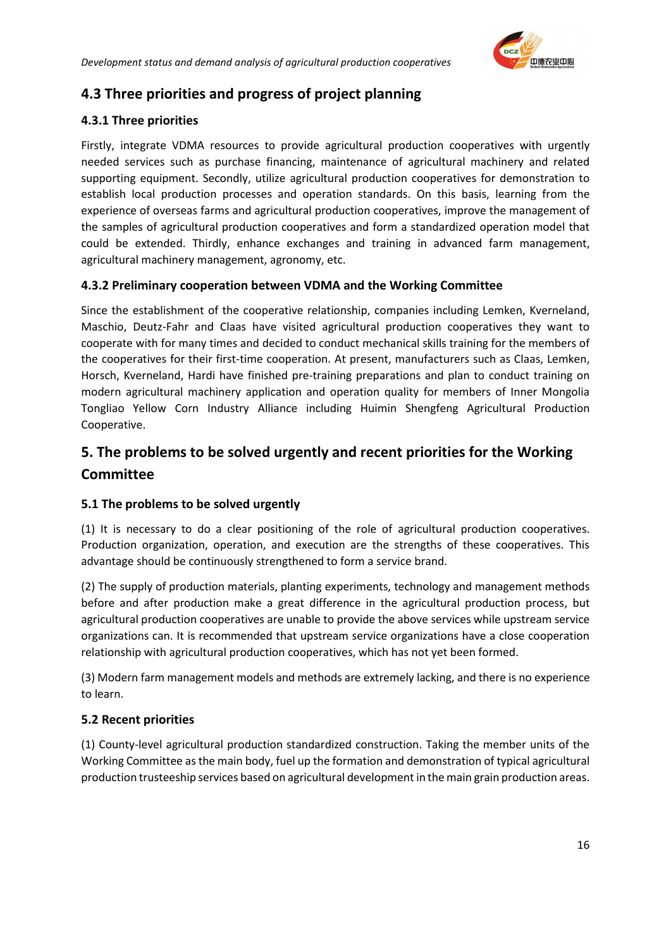

## <span id="page-16-0"></span>**4.3 Three priorities and progress of project planning**

#### <span id="page-16-1"></span>**4.3.1 Three priorities**

Firstly, integrate VDMA resources to provide agricultural production cooperatives with urgently needed services such as purchase financing, maintenance of agricultural machinery and related supporting equipment. Secondly, utilize agricultural production cooperatives for demonstration to establish local production processes and operation standards. On this basis, learning from the experience of overseas farms and agricultural production cooperatives, improve the management of the samples of agricultural production cooperatives and form a standardized operation model that could be extended. Thirdly, enhance exchanges and training in advanced farm management, agricultural machinery management, agronomy, etc.

#### <span id="page-16-2"></span>**4.3.2 Preliminary cooperation between VDMA and the Working Committee**

Since the establishment of the cooperative relationship, companies including Lemken, Kverneland, Maschio, Deutz-Fahr and Claas have visited agricultural production cooperatives they want to cooperate with for many times and decided to conduct mechanical skills training for the members of the cooperatives for their first-time cooperation. At present, manufacturers such as Claas, Lemken, Horsch, Kverneland, Hardi have finished pre-training preparations and plan to conduct training on modern agricultural machinery application and operation quality for members of Inner Mongolia Tongliao Yellow Corn Industry Alliance including Huimin Shengfeng Agricultural Production Cooperative.

### <span id="page-16-3"></span>**5. The problems to be solved urgently and recent priorities for the Working Committee**

#### <span id="page-16-4"></span>**5.1 The problems to be solved urgently**

(1) It is necessary to do a clear positioning of the role of agricultural production cooperatives. Production organization, operation, and execution are the strengths of these cooperatives. This advantage should be continuously strengthened to form a service brand.

(2) The supply of production materials, planting experiments, technology and management methods before and after production make a great difference in the agricultural production process, but agricultural production cooperatives are unable to provide the above services while upstream service organizations can. It is recommended that upstream service organizations have a close cooperation relationship with agricultural production cooperatives, which has not yet been formed.

(3) Modern farm management models and methods are extremely lacking, and there is no experience to learn.

#### <span id="page-16-5"></span>**5.2 Recent priorities**

(1) County-level agricultural production standardized construction. Taking the member units of the Working Committee as the main body, fuel up the formation and demonstration of typical agricultural production trusteeship services based on agricultural development in the main grain production areas.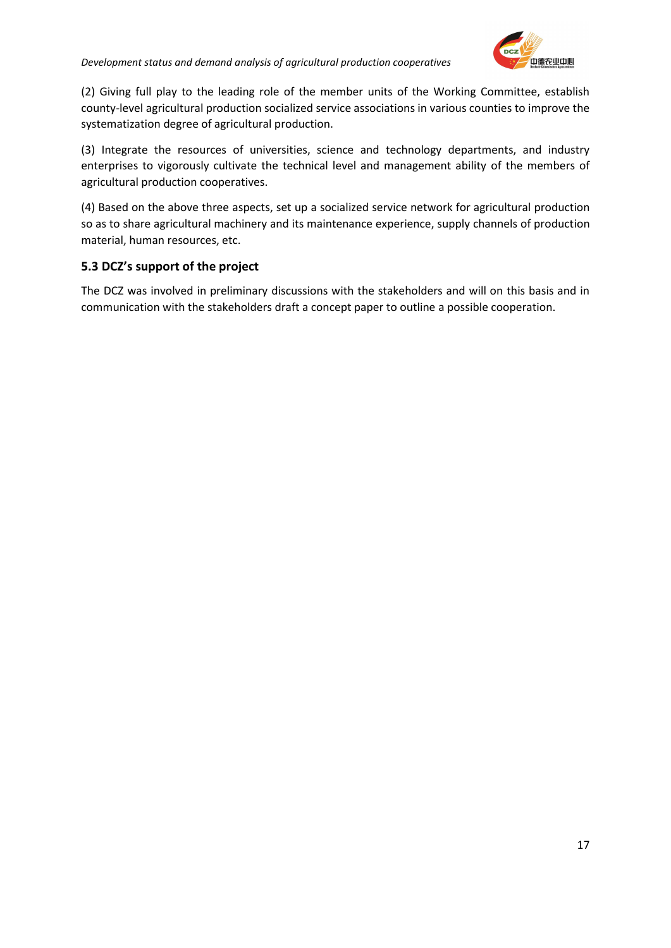

(2) Giving full play to the leading role of the member units of the Working Committee, establish county-level agricultural production socialized service associations in various counties to improve the systematization degree of agricultural production.

(3) Integrate the resources of universities, science and technology departments, and industry enterprises to vigorously cultivate the technical level and management ability of the members of agricultural production cooperatives.

(4) Based on the above three aspects, set up a socialized service network for agricultural production so as to share agricultural machinery and its maintenance experience, supply channels of production material, human resources, etc.

#### <span id="page-17-0"></span>**5.3 DCZ's support of the project**

The DCZ was involved in preliminary discussions with the stakeholders and will on this basis and in communication with the stakeholders draft a concept paper to outline a possible cooperation.